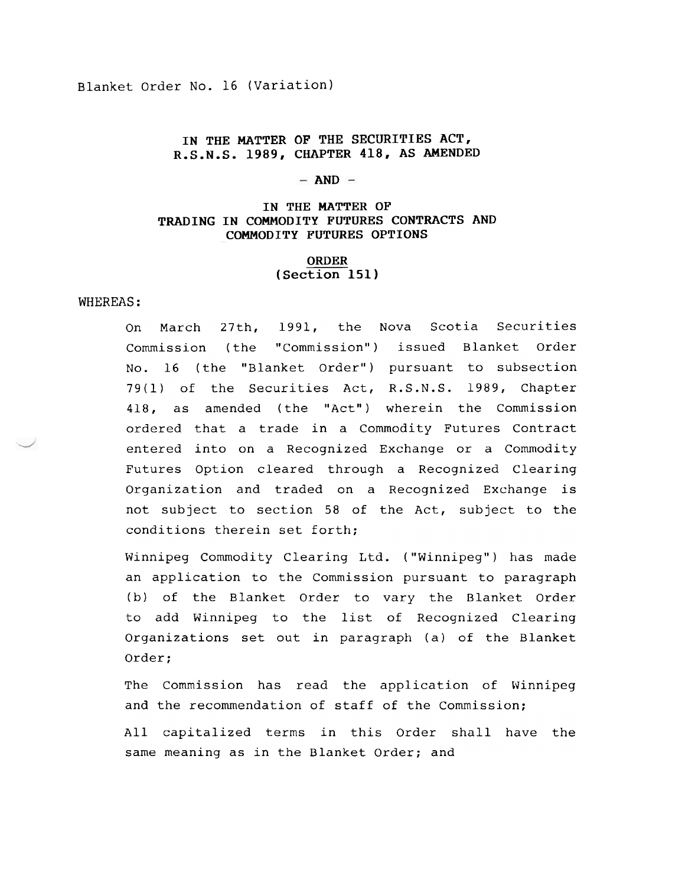Blanket Order No. 16 (Variation)

# IN THE MATTER OF THE SECURITIES ACT, R.S.N.S. 1989, CHAPTER 418, AS AMENDED

### $-$  AND  $-$

### TRADING IN COMMODITY FUTURES CONTRACTS AND IN THE MATTER OF COMMODITY FUTURES OPTIONS

### ORDER (Section 151)

#### WHEREAS:

On March 27th, 1991, the Nova Scotia Securities Commission (the "Commission") issued Blanket Order No. 16 (the "Blanket Order") pursuant to subsection 79(1) of the Securities Act, R.S.N.S. 1989, Chapter 418, as amended (the "Act") wherein the Commission ordered that a trade in a Commodity Futures Contract entered into on a Recognized Exchange or a Commodity Futures Option cleared through a Recognized Clearing Organization and traded on a Recognized Exchange is not subject to section 58 of the Act, subject to the conditions therein set forth:

Winnipeg Commodity Clearing Ltd. ("Winnipeg") has made an application to the Commission pursuant to paragraph (b) of the Blanket Order to vary the Blanket Order to add Winnipeg to the list of Recognized Clearing Organizations set out in paragraph (a) of the Blanket Order:

The Commission has read the application of Winnipeg and the recommendation of staff of the Commission:

All capitalized terms in this Order shall have the same meaning as in the Blanket Order; and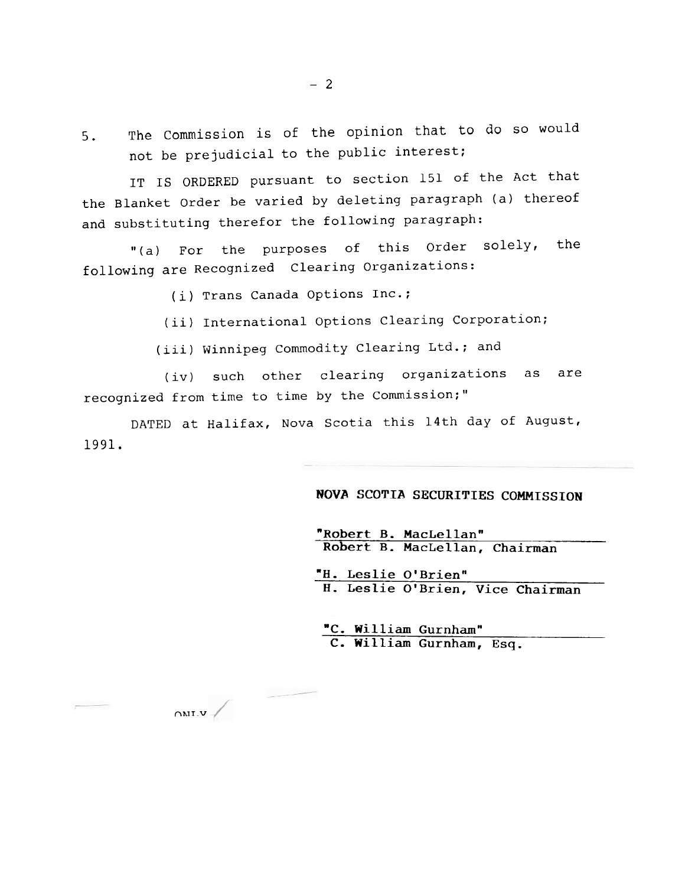5. The Commission is of the opinion that to do so would not be prejudicial to the public intere

IT IS ORDERED pursuant to section 151 of the Act tha the Blanket Order be varied by deleting paragraph (a) there and substituting therefor the following paragraph:

"(a) For the purposes of this Order solely, the following are Recognized Clearing Organizati

(i) Trans Canada Options Inc

 $\alpha$ <sub>riv</sub>

(ii) International Options Clearing Corporati

(iii) Winnipeg Commodity Clearing Ltd.; and

(iv) such other clearing organizations as are recognized from time to time by the Commission

DATED at Halifax, Nova Scotia this 14th day of Augus . J991.

# NOVA SCOTIA SECURITIES COMMISSION

"Robert B. MacLellan"<br>Robert B. MacLellan, Chairman

"H. Leslie O'Brien"<br>H. Leslie O'Brien, Vice Chairman

"C. William Gurnham" C. William Gurnham, Esq.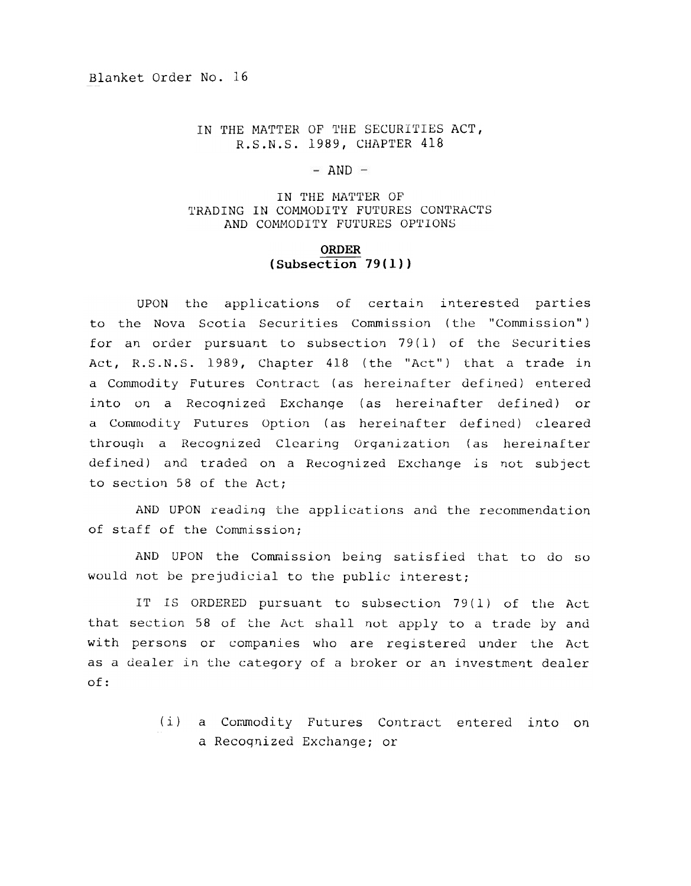## IN THE MATTER OF THE SECURITIES ACT, R.S.N.S. 1989, CHAPTER 418

## $-$  AND  $-$

## IN THE MATTER OF TRADING IN COMMODITY FUTURES CONTRACTS AND COMMODITY FUTURES OPTIONS

# ORDER  $(Subsection 79(1))$

UPON the applications of certain interested parties to the Nova Scotia Securities Commission (the "Commission") for an order pursuant to subsection 79(1) of the Securities Act, R.S.N.S. 1989, Chapter 418 (the "Act") that a trade in a Commodity Futures Contract (as hereinafter defined) entered into on a Recognized Exchange (as hereinafter defined) or a Commodity Futures Option (as hereinafter defined) cleared through a Recognized Clearing Organization (as hereinafter defined) and traded on a Recognized Exchange is not subject to section 58 of the Act;

AND UPON reading the applications and the recommendation of staff of the Commission;

AND UPON the Commission being satisfied that to do so would not be prejudicial to the public interest;

IT IS ORDERED pursuant to subsection 79(1) of the Act that section 58 of the Act shall not apply to a trade by and with persons or companies who are registered under the Act as a dealer in the category of a broker or an investment dealer of:

> (i) a Commodity Futures Contract entered into on a Recognized Exchange; or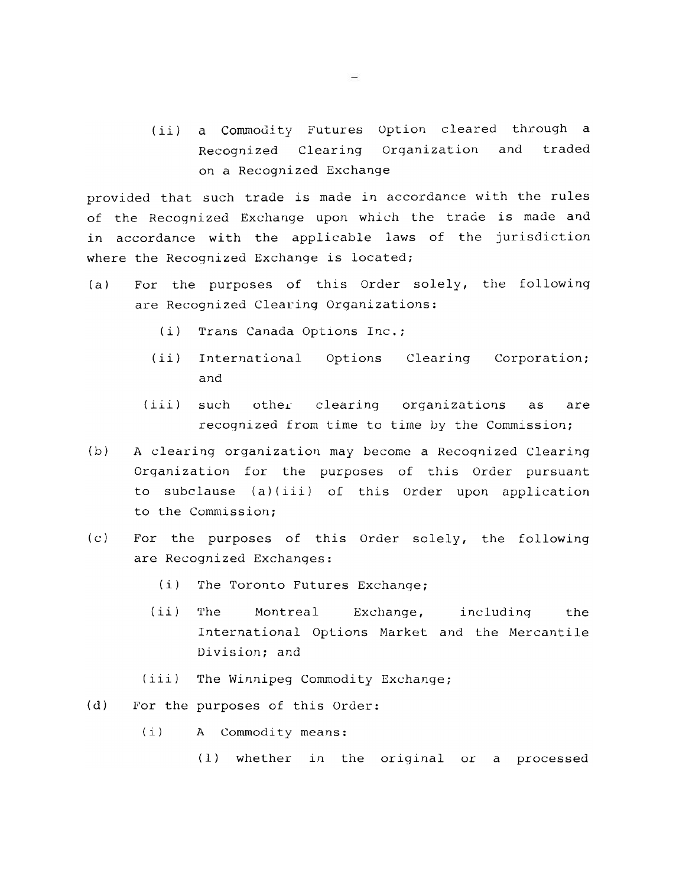(ii) a Commodity Futures Option cleared through a Recognized Clearing Organization and traded on a Recognized Exchange

provided that such trade is made in accordance with the rules of the Recognized Exchange upon which the trade is made and in accordance with the applicable laws of the jurisdiction where the Recognized Exchange is located;

- (a) For the purposes of this Order solely, the following are Recognized Clearing Organizations:
	- (i) Trans Canada Options Inc.;
	- (ii) International Options Clearing Corporation; and
	- (iii) such other clearing organizations as are recognized from time to time by the Commission;
- (b) A clearing organization may become a Recognized Clearing Organization for the purposes of this Order pursuant to subclause (a)(iii) of this Order upon application to the Commission;
- (c) For the purposes of this Order solely, the following are Recognized Exchanges:
	- (i) The Toronto Futures Exchange;
	- (ii) The Montreal Exchange, including the International Options Market and the Mercantile Division; and
	- (iii) The Winnipeg Commodity Exchange;
- (d) For the purposes of this Order:
	- (i) A Commodity means:
		- (1) whether in the original or a processed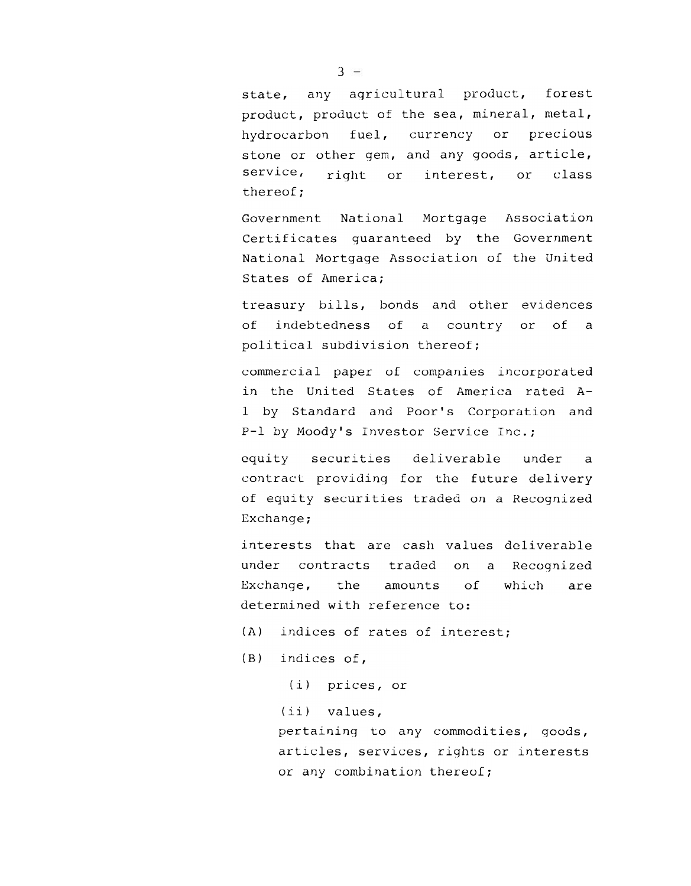state, any agricultural product, forest product, product of the sea, mineral, metal, hydrocarbon fuel, currency or precious stone or other gem, and any goods, article, service, right or interest, or class thereof;

Government National Mortgage Association Certificates guaranteed by the Government National Mortgage Association of the united States of America;

treasury bills, bonds and other evidences of indebtedness of a country or of a political subdivision thereof;

commercial paper of companies incorporated in the United States of America rated A-I by Standard and Poor's Corporation and P-I by Moody's Investor Service Inc.;

equity securities deliverable under a contract providing for the future delivery of equity securities traded on a Recognized Exchange;

interests that are cash values deliverable under contracts traded on a Recognized Exchange, the amounts of which are determined with reference to:

- (A) indices of rates of interest;
- (B) indices of,
	- (i) prices, or

(ii) values,

pertaining to any commodities, goods articles, services, rights or intere or any combination there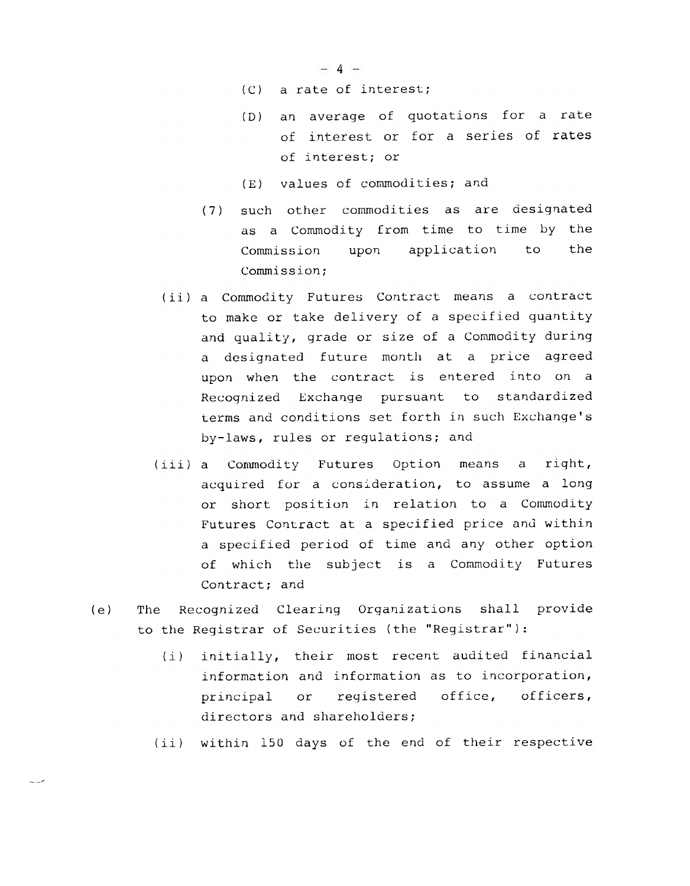$-4-$ 

- (C) a rate of interest;
- (D) an average of quotations for a rate of interest or for a series of rates of interest; or
- (E) values of commodities; and
- (7) such other commodities as are designated as a Commodity from time to time by the Commission upon application to the Commission;
- (ii) a Commodity Futures Contract means a contract to make or take delivery of a specified quantity and quality, grade or size of a Commodity during a designated future month at a price agreed upon when the contract is entered into on a Recognized Exchange pursuant to standardized terms and conditions set forth in such Exchange's by-laws, rules or regulations; and
- (iii) a Commodity Futures Option means a right, acquired for a consideration, to assume a long or short position in relation to a Commodity Futures Contract at a specified price and within a specified period of time and any other option of which the subject is a Commodity Futures Contract; and
- (e) The Recognized Clearing Organizations shall provide to the Registrar of Securities (the "Registrar"):

oJ

- (i) initially, their most recent audited financial information and information as to incorporation, principal or registered office, officers, directors and shareholders;
- (ii) within 150 days of the end of their respective